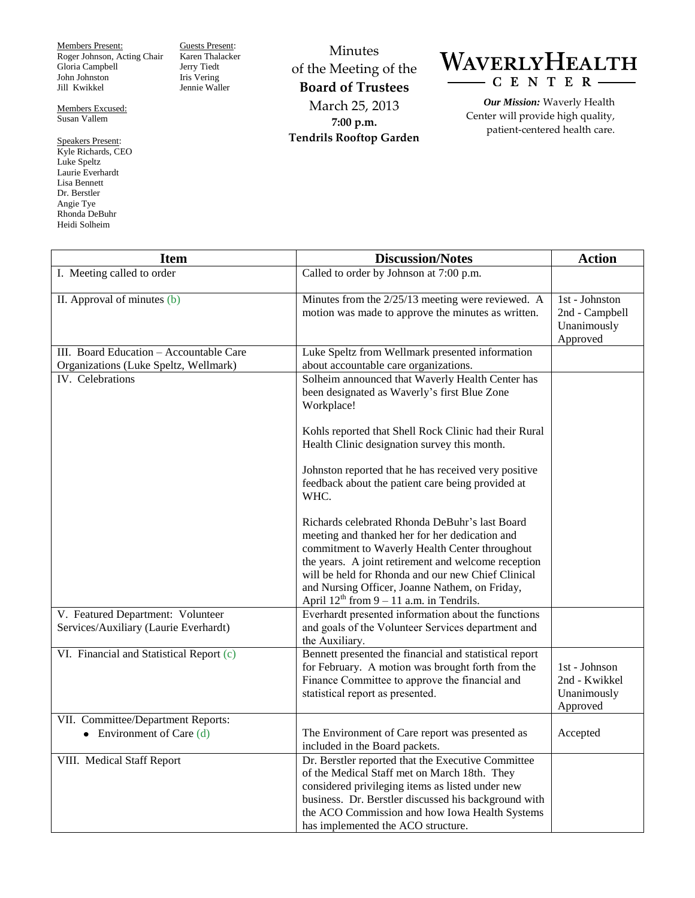Members Present: Roger Johnson, Acting Chair Gloria Campbell John Johnston Jill Kwikkel

Members Excused: Susan Vallem

Speakers Present: Kyle Richards, CEO Luke Speltz Laurie Everhardt Lisa Bennett Dr. Berstler Angie Tye Rhonda DeBuhr Heidi Solheim

Guests Present: Karen Thalacker Jerry Tiedt Iris Vering Jennie Waller

Minutes of the Meeting of the **Board of Trustees** March 25, 2013 **7:00 p.m. Tendrils Rooftop Garden**



*Our Mission:* Waverly Health Center will provide high quality, patient-centered health care.

| <b>Item</b>                                                                      | <b>Discussion/Notes</b>                                                                                                                                                                                                                                                                                                                                            | <b>Action</b>                                                    |
|----------------------------------------------------------------------------------|--------------------------------------------------------------------------------------------------------------------------------------------------------------------------------------------------------------------------------------------------------------------------------------------------------------------------------------------------------------------|------------------------------------------------------------------|
| I. Meeting called to order                                                       | Called to order by Johnson at 7:00 p.m.                                                                                                                                                                                                                                                                                                                            |                                                                  |
| II. Approval of minutes (b)                                                      | Minutes from the 2/25/13 meeting were reviewed. A<br>motion was made to approve the minutes as written.                                                                                                                                                                                                                                                            | 1st - Johnston<br>2nd - Campbell<br>Unanimously<br>Approved      |
| III. Board Education - Accountable Care<br>Organizations (Luke Speltz, Wellmark) | Luke Speltz from Wellmark presented information<br>about accountable care organizations.                                                                                                                                                                                                                                                                           |                                                                  |
| IV. Celebrations                                                                 | Solheim announced that Waverly Health Center has<br>been designated as Waverly's first Blue Zone<br>Workplace!                                                                                                                                                                                                                                                     |                                                                  |
|                                                                                  | Kohls reported that Shell Rock Clinic had their Rural<br>Health Clinic designation survey this month.                                                                                                                                                                                                                                                              |                                                                  |
|                                                                                  | Johnston reported that he has received very positive<br>feedback about the patient care being provided at<br>WHC.                                                                                                                                                                                                                                                  |                                                                  |
|                                                                                  | Richards celebrated Rhonda DeBuhr's last Board<br>meeting and thanked her for her dedication and<br>commitment to Waverly Health Center throughout<br>the years. A joint retirement and welcome reception<br>will be held for Rhonda and our new Chief Clinical<br>and Nursing Officer, Joanne Nathem, on Friday,<br>April $12^{th}$ from 9 – 11 a.m. in Tendrils. |                                                                  |
| V. Featured Department: Volunteer<br>Services/Auxiliary (Laurie Everhardt)       | Everhardt presented information about the functions<br>and goals of the Volunteer Services department and<br>the Auxiliary.                                                                                                                                                                                                                                        |                                                                  |
| VI. Financial and Statistical Report (c)                                         | Bennett presented the financial and statistical report<br>for February. A motion was brought forth from the<br>Finance Committee to approve the financial and<br>statistical report as presented.                                                                                                                                                                  | $1st$ - Johnson $\,$<br>2nd - Kwikkel<br>Unanimously<br>Approved |
| VII. Committee/Department Reports:<br>• Environment of Care $(d)$                | The Environment of Care report was presented as<br>included in the Board packets.                                                                                                                                                                                                                                                                                  | Accepted                                                         |
| VIII. Medical Staff Report                                                       | Dr. Berstler reported that the Executive Committee<br>of the Medical Staff met on March 18th. They<br>considered privileging items as listed under new<br>business. Dr. Berstler discussed his background with<br>the ACO Commission and how Iowa Health Systems<br>has implemented the ACO structure.                                                             |                                                                  |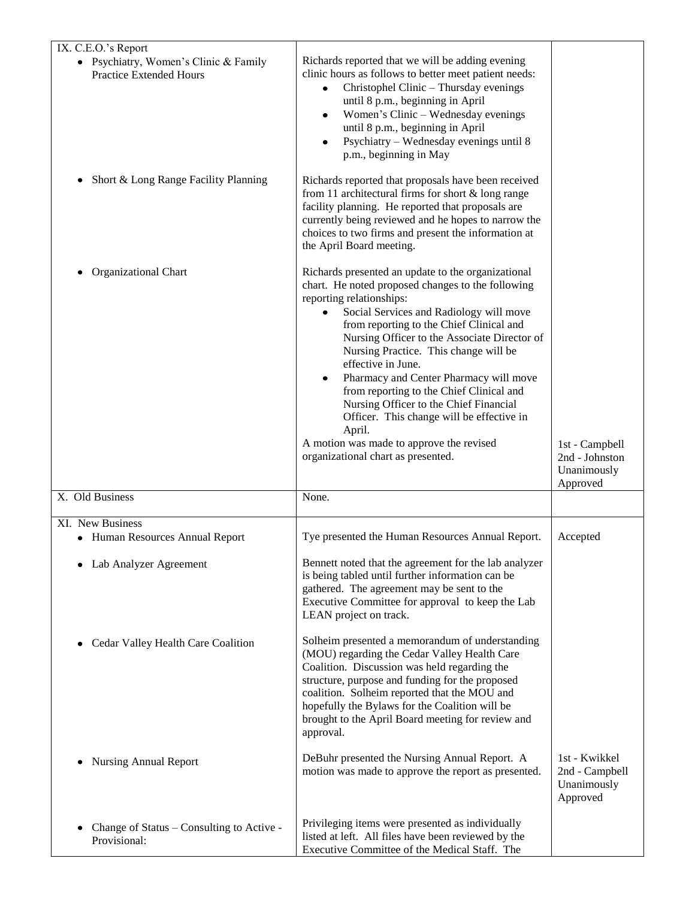| IX. C.E.O.'s Report                                                     |                                                                                                                                                                                                                                                                                                                                                                                                                                                                                                                                                                                                                         |                                                            |
|-------------------------------------------------------------------------|-------------------------------------------------------------------------------------------------------------------------------------------------------------------------------------------------------------------------------------------------------------------------------------------------------------------------------------------------------------------------------------------------------------------------------------------------------------------------------------------------------------------------------------------------------------------------------------------------------------------------|------------------------------------------------------------|
| • Psychiatry, Women's Clinic & Family<br><b>Practice Extended Hours</b> | Richards reported that we will be adding evening<br>clinic hours as follows to better meet patient needs:<br>Christophel Clinic - Thursday evenings<br>$\bullet$<br>until 8 p.m., beginning in April<br>Women's Clinic - Wednesday evenings<br>$\bullet$<br>until 8 p.m., beginning in April<br>Psychiatry - Wednesday evenings until 8<br>$\bullet$<br>p.m., beginning in May                                                                                                                                                                                                                                          |                                                            |
| Short & Long Range Facility Planning                                    | Richards reported that proposals have been received<br>from 11 architectural firms for short & long range<br>facility planning. He reported that proposals are<br>currently being reviewed and he hopes to narrow the<br>choices to two firms and present the information at<br>the April Board meeting.                                                                                                                                                                                                                                                                                                                |                                                            |
| Organizational Chart                                                    | Richards presented an update to the organizational<br>chart. He noted proposed changes to the following<br>reporting relationships:<br>Social Services and Radiology will move<br>٠<br>from reporting to the Chief Clinical and<br>Nursing Officer to the Associate Director of<br>Nursing Practice. This change will be<br>effective in June.<br>Pharmacy and Center Pharmacy will move<br>from reporting to the Chief Clinical and<br>Nursing Officer to the Chief Financial<br>Officer. This change will be effective in<br>April.<br>A motion was made to approve the revised<br>organizational chart as presented. | 1st - Campbell<br>2nd - Johnston                           |
| X. Old Business                                                         | None.                                                                                                                                                                                                                                                                                                                                                                                                                                                                                                                                                                                                                   | Unanimously<br>Approved                                    |
|                                                                         |                                                                                                                                                                                                                                                                                                                                                                                                                                                                                                                                                                                                                         |                                                            |
| XI. New Business<br>• Human Resources Annual Report                     | Tye presented the Human Resources Annual Report.                                                                                                                                                                                                                                                                                                                                                                                                                                                                                                                                                                        | Accepted                                                   |
| Lab Analyzer Agreement                                                  | Bennett noted that the agreement for the lab analyzer<br>is being tabled until further information can be<br>gathered. The agreement may be sent to the<br>Executive Committee for approval to keep the Lab<br>LEAN project on track.                                                                                                                                                                                                                                                                                                                                                                                   |                                                            |
| Cedar Valley Health Care Coalition                                      | Solheim presented a memorandum of understanding<br>(MOU) regarding the Cedar Valley Health Care<br>Coalition. Discussion was held regarding the<br>structure, purpose and funding for the proposed<br>coalition. Solheim reported that the MOU and<br>hopefully the Bylaws for the Coalition will be<br>brought to the April Board meeting for review and<br>approval.                                                                                                                                                                                                                                                  |                                                            |
| <b>Nursing Annual Report</b>                                            | DeBuhr presented the Nursing Annual Report. A<br>motion was made to approve the report as presented.                                                                                                                                                                                                                                                                                                                                                                                                                                                                                                                    | 1st - Kwikkel<br>2nd - Campbell<br>Unanimously<br>Approved |
| Change of Status - Consulting to Active -<br>Provisional:               | Privileging items were presented as individually<br>listed at left. All files have been reviewed by the<br>Executive Committee of the Medical Staff. The                                                                                                                                                                                                                                                                                                                                                                                                                                                                |                                                            |